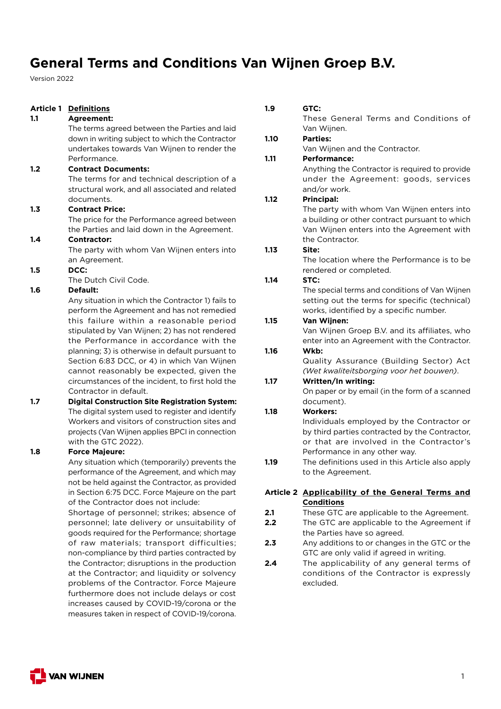Version 2022

| Article 1 | <b>Definitions</b>                                    |
|-----------|-------------------------------------------------------|
| 1.1       | <b>Agreement:</b>                                     |
|           | The terms agreed between the Parties and laid         |
|           | down in writing subject to which the Contractor       |
|           | undertakes towards Van Wijnen to render the           |
|           | Performance.                                          |
| 1.2       | <b>Contract Documents:</b>                            |
|           | The terms for and technical description of a          |
|           | structural work, and all associated and related       |
|           | documents.                                            |
| 1.3       | <b>Contract Price:</b>                                |
|           | The price for the Performance agreed between          |
|           | the Parties and laid down in the Agreement.           |
| 1.4       | <b>Contractor:</b>                                    |
|           | The party with whom Van Wijnen enters into            |
|           | an Agreement.                                         |
| 1.5       | DCC:                                                  |
|           | The Dutch Civil Code.                                 |
| 1.6       | <b>Default:</b>                                       |
|           | Any situation in which the Contractor 1) fails to     |
|           | perform the Agreement and has not remedied            |
|           | this failure within a reasonable period               |
|           | stipulated by Van Wijnen; 2) has not rendered         |
|           | the Performance in accordance with the                |
|           | planning; 3) is otherwise in default pursuant to      |
|           | Section 6:83 DCC, or 4) in which Van Wijnen           |
|           | cannot reasonably be expected, given the              |
|           | circumstances of the incident, to first hold the      |
|           | Contractor in default.                                |
| 1.7       | <b>Digital Construction Site Registration System:</b> |
|           | The digital system used to register and identify      |
|           | Workers and visitors of construction sites and        |
|           | projects (Van Wijnen applies BPCI in connection       |
|           | with the GTC 2022).                                   |
| 1.8       | <b>Force Majeure:</b>                                 |
|           | Any situation which (temporarily) prevents the        |
|           | performance of the Agreement, and which may           |
|           | not be held against the Contractor, as provided       |
|           | in Section 6:75 DCC. Force Majeure on the part        |
|           | of the Contractor does not include:                   |
|           | Shortage of personnel; strikes; absence of            |
|           | personnel; late delivery or unsuitability of          |
|           | goods required for the Performance; shortage          |
|           |                                                       |

hortage of raw materials; transport difficulties; non-compliance by third parties contracted by the Contractor; disruptions in the production at the Contractor; and liquidity or solvency problems of the Contractor. Force Majeure furthermore does not include delays or cost increases caused by COVID-19/corona or the measures taken in respect of COVID-19/corona.

| 1.9  | GTC:                                                                                                                 |
|------|----------------------------------------------------------------------------------------------------------------------|
|      | These General Terms and Conditions of                                                                                |
|      | Van Wijnen.                                                                                                          |
| 1.10 | <b>Parties:</b>                                                                                                      |
|      | Van Wijnen and the Contractor.                                                                                       |
| 1.11 | <b>Performance:</b>                                                                                                  |
|      | Anything the Contractor is required to provide                                                                       |
|      | under the Agreement: goods, services                                                                                 |
|      | and/or work.                                                                                                         |
| 1.12 | <b>Principal:</b>                                                                                                    |
|      | The party with whom Van Wijnen enters into                                                                           |
|      | a building or other contract pursuant to which                                                                       |
|      | Van Wijnen enters into the Agreement with                                                                            |
|      | the Contractor.                                                                                                      |
| 1.13 | Site:                                                                                                                |
|      | The location where the Performance is to be                                                                          |
|      | rendered or completed.                                                                                               |
| 1.14 | STC:                                                                                                                 |
|      | The special terms and conditions of Van Wijnen                                                                       |
|      | setting out the terms for specific (technical)                                                                       |
|      | works, identified by a specific number.                                                                              |
| 1.15 | Van Wijnen:                                                                                                          |
|      | Van Wijnen Groep B.V. and its affiliates, who<br>enter into an Agreement with the Contractor.                        |
| 1.16 | Wkb:                                                                                                                 |
|      | Quality Assurance (Building Sector) Act                                                                              |
|      | (Wet kwaliteitsborging voor het bouwen).                                                                             |
| 1.17 | Written/In writing:                                                                                                  |
|      | On paper or by email (in the form of a scanned                                                                       |
|      | document).                                                                                                           |
| 1.18 | <b>Workers:</b>                                                                                                      |
|      | Individuals employed by the Contractor or                                                                            |
|      | by third parties contracted by the Contractor,                                                                       |
|      | or that are involved in the Contractor's                                                                             |
|      | Performance in any other way.                                                                                        |
| 1.19 | The definitions used in this Article also apply                                                                      |
|      | to the Agreement.                                                                                                    |
|      | Article 2 Applicability of the General Terms and                                                                     |
|      | <b>Conditions</b>                                                                                                    |
| 2.1  | These GTC are applicable to the Agreement.                                                                           |
| . .  | $\tau$ k ka $\sigma$ $\tau$ $\sigma$ is a set of the set of the field of the field of $\sigma$ and $\tau$ and $\tau$ |

- **2.2** The GTC are applicable to the Agreement if the Parties have so agreed.
- **2.3** Any additions to or changes in the GTC or the GTC are only valid if agreed in writing.
- **2.4** The applicability of any general terms of conditions of the Contractor is expressly excluded.

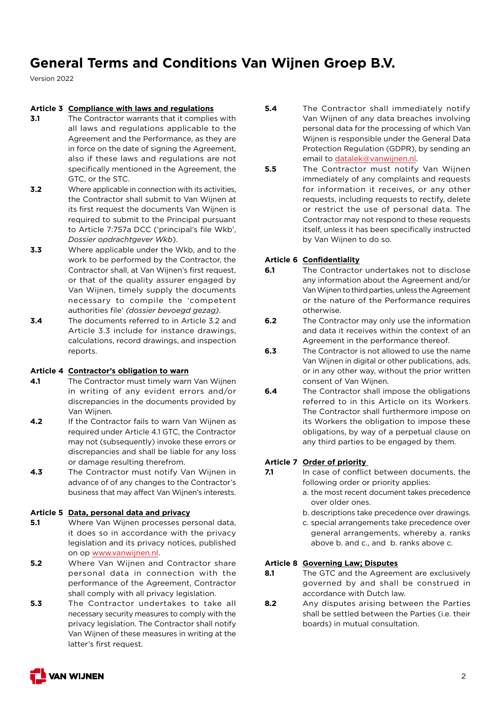Version 2022

### **Article 3 Compliance with laws and regulations**

- **3.1** The Contractor warrants that it complies with all laws and regulations applicable to the Agreement and the Performance, as they are in force on the date of signing the Agreement, also if these laws and regulations are not specifically mentioned in the Agreement, the GTC, or the STC.
- **3.2** Where applicable in connection with its activities, the Contractor shall submit to Van Wijnen at its first request the documents Van Wijnen is required to submit to the Principal pursuant to Article 7:757a DCC ('principal's file Wkb', *Dossier opdrachtgever Wkb*).
- **3.3** Where applicable under the Wkb, and to the work to be performed by the Contractor, the Contractor shall, at Van Wijnen's first request, or that of the quality assurer engaged by Van Wijnen, timely supply the documents necessary to compile the 'competent authorities file' *(dossier bevoegd gezag)*.
- **3.4** The documents referred to in Article 3.2 and Article 3.3 include for instance drawings, calculations, record drawings, and inspection reports.

### **Article 4 Contractor's obligation to warn**

- **4.1** The Contractor must timely warn Van Wijnen in writing of any evident errors and/or discrepancies in the documents provided by Van Wijnen.
- **4.2** If the Contractor fails to warn Van Wijnen as required under Article 4.1 GTC, the Contractor may not (subsequently) invoke these errors or discrepancies and shall be liable for any loss or damage resulting therefrom.
- **4.3** The Contractor must notify Van Wijnen in advance of of any changes to the Contractor's business that may affect Van Wijnen's interests.

### **Article 5 Data, personal data and privacy**

- **5.1** Where Van Wijnen processes personal data, it does so in accordance with the privacy legislation and its privacy notices, published on op www.vanwijnen.nl.
- **5.2** Where Van Wijnen and Contractor share personal data in connection with the performance of the Agreement, Contractor shall comply with all privacy legislation.
- **5.3** The Contractor undertakes to take all necessary security measures to comply with the privacy legislation. The Contractor shall notify Van Wijnen of these measures in writing at the latter's first request.
- **5.4** The Contractor shall immediately notify Van Wijnen of any data breaches involving personal data for the processing of which Van Wijnen is responsible under the General Data Protection Regulation (GDPR), by sending an email to datalek@vanwijnen.nl.
- **5.5** The Contractor must notify Van Wijnen immediately of any complaints and requests for information it receives, or any other requests, including requests to rectify, delete or restrict the use of personal data. The Contractor may not respond to these requests itself, unless it has been specifically instructed by Van Wijnen to do so.

### **Article 6 Confidentiality**

- **6.1** The Contractor undertakes not to disclose any information about the Agreement and/or Van Wijnen to third parties, unless the Agreement or the nature of the Performance requires otherwise.
- **6.2** The Contractor may only use the information and data it receives within the context of an Agreement in the performance thereof.
- **6.3** The Contractor is not allowed to use the name Van Wijnen in digital or other publications, ads, or in any other way, without the prior written consent of Van Wijnen.
- **6.4** The Contractor shall impose the obligations referred to in this Article on its Workers. The Contractor shall furthermore impose on its Workers the obligation to impose these obligations, by way of a perpetual clause on any third parties to be engaged by them.

## **Article 7 Order of priority**

- **7.1** In case of conflict between documents, the following order or priority applies:
	- a. the most recent document takes precedence over older ones.
	- b. descriptions take precedence over drawings.
	- c. special arrangements take precedence over general arrangements, whereby a. ranks above b. and c., and b. ranks above c.

### **Article 8 Governing Law; Disputes**

- **8.1** The GTC and the Agreement are exclusively governed by and shall be construed in accordance with Dutch law.
- **8.2** Any disputes arising between the Parties shall be settled between the Parties (i.e. their boards) in mutual consultation.

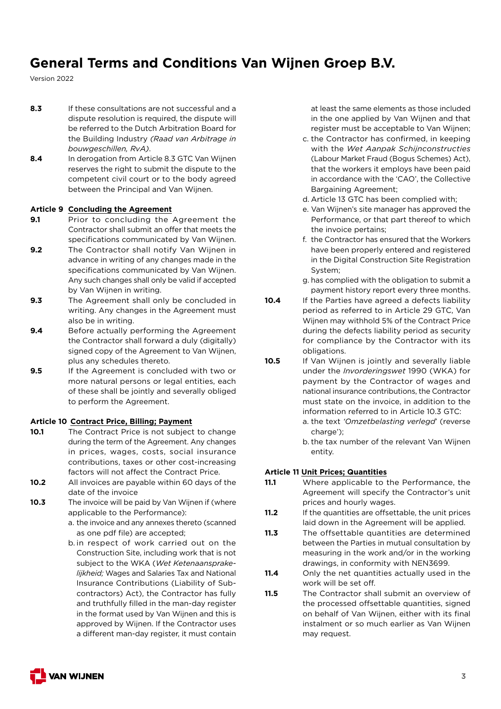Version 2022

- **8.3** If these consultations are not successful and a dispute resolution is required, the dispute will be referred to the Dutch Arbitration Board for the Building Industry *(Raad van Arbitrage in bouwgeschillen, RvA)*.
- **8.4** In derogation from Article 8.3 GTC Van Wijnen reserves the right to submit the dispute to the competent civil court or to the body agreed between the Principal and Van Wijnen.

### **Article 9 Concluding the Agreement**

- **9.1** Prior to concluding the Agreement the Contractor shall submit an offer that meets the specifications communicated by Van Wijnen.
- **9.2** The Contractor shall notify Van Wijnen in advance in writing of any changes made in the specifications communicated by Van Wijnen. Any such changes shall only be valid if accepted by Van Wijnen in writing.
- **9.3** The Agreement shall only be concluded in writing. Any changes in the Agreement must also be in writing.
- **9.4** Before actually performing the Agreement the Contractor shall forward a duly (digitally) signed copy of the Agreement to Van Wijnen, plus any schedules thereto.
- **9.5** If the Agreement is concluded with two or more natural persons or legal entities, each of these shall be jointly and severally obliged to perform the Agreement.

#### **Article 10 Contract Price, Billing; Payment**

- **10.1** The Contract Price is not subject to change during the term of the Agreement. Any changes in prices, wages, costs, social insurance contributions, taxes or other cost-increasing factors will not affect the Contract Price.
- **10.2** All invoices are payable within 60 days of the date of the invoice
- **10.3** The invoice will be paid by Van Wijnen if (where applicable to the Performance):
	- a. the invoice and any annexes thereto (scanned as one pdf file) are accepted;
	- b. in respect of work carried out on the Construction Site, including work that is not subject to the WKA (*Wet Ketenaansprakelijkheid;* Wages and Salaries Tax and National Insurance Contributions (Liability of Subcontractors) Act), the Contractor has fully and truthfully filled in the man-day register in the format used by Van Wijnen and this is approved by Wijnen. If the Contractor uses a different man-day register, it must contain

at least the same elements as those included in the one applied by Van Wijnen and that register must be acceptable to Van Wijnen;

- c. the Contractor has confirmed, in keeping with the *Wet Aanpak Schijnconstructies* (Labour Market Fraud (Bogus Schemes) Act), that the workers it employs have been paid in accordance with the 'CAO', the Collective Bargaining Agreement;
- d. Article 13 GTC has been complied with;
- e. Van Wijnen's site manager has approved the Performance, or that part thereof to which the invoice pertains;
- f. the Contractor has ensured that the Workers have been properly entered and registered in the Digital Construction Site Registration System;
- g. has complied with the obligation to submit a payment history report every three months.
- **10.4** If the Parties have agreed a defects liability period as referred to in Article 29 GTC, Van Wijnen may withhold 5% of the Contract Price during the defects liability period as security for compliance by the Contractor with its obligations.
- **10.5** If Van Wijnen is jointly and severally liable under the *Invorderingswet* 1990 (WKA) for payment by the Contractor of wages and national insurance contributions, the Contractor must state on the invoice, in addition to the information referred to in Article 10.3 GTC:
	- a. the text *'Omzetbelasting verlegd*' (reverse charge');
	- b. the tax number of the relevant Van Wijnen entity.

### **Article 11 Unit Prices; Quantities**

- **11.1** Where applicable to the Performance, the Agreement will specify the Contractor's unit prices and hourly wages.
- **11.2** If the quantities are offsettable, the unit prices laid down in the Agreement will be applied.
- **11.3** The offsettable quantities are determined between the Parties in mutual consultation by measuring in the work and/or in the working drawings, in conformity with NEN3699.
- **11.4** Only the net quantities actually used in the work will be set off.
- **11.5** The Contractor shall submit an overview of the processed offsettable quantities, signed on behalf of Van Wijnen, either with its final instalment or so much earlier as Van Wijnen may request.

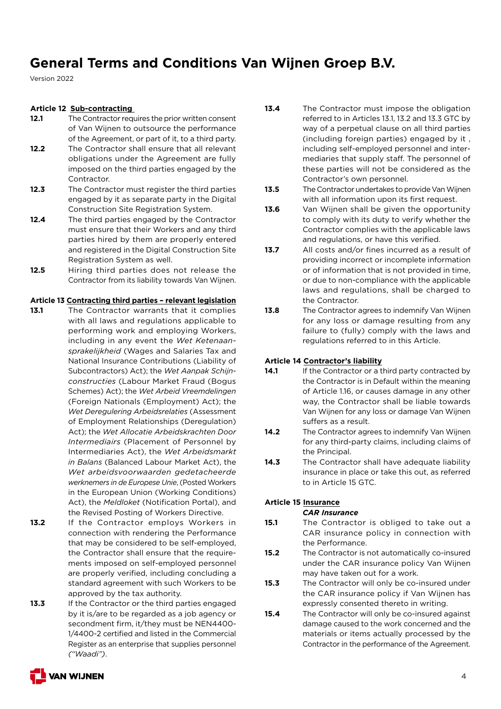Version 2022

### **Article 12 Sub-contracting**

- **12.1** The Contractor requires the prior written consent of Van Wijnen to outsource the performance of the Agreement, or part of it, to a third party.
- **12.2** The Contractor shall ensure that all relevant obligations under the Agreement are fully imposed on the third parties engaged by the Contractor.
- **12.3** The Contractor must register the third parties engaged by it as separate party in the Digital Construction Site Registration System.
- **12.4** The third parties engaged by the Contractor must ensure that their Workers and any third parties hired by them are properly entered and registered in the Digital Construction Site Registration System as well.
- **12.5** Hiring third parties does not release the Contractor from its liability towards Van Wijnen.

### **Article 13 Contracting third parties – relevant legislation**

- **13.1** The Contractor warrants that it complies with all laws and regulations applicable to performing work and employing Workers, including in any event the *Wet Ketenaansprakelijkheid* (Wages and Salaries Tax and National Insurance Contributions (Liability of Subcontractors) Act); the *Wet Aanpak Schijnconstructies* (Labour Market Fraud (Bogus Schemes) Act); the *Wet Arbeid Vreemdelingen* (Foreign Nationals (Employment) Act); the *Wet Deregulering Arbeidsrelaties* (Assessment of Employment Relationships (Deregulation) Act); the *Wet Allocatie Arbeidskrachten Door Intermediairs* (Placement of Personnel by Intermediaries Act), the *Wet Arbeidsmarkt in Balans* (Balanced Labour Market Act), the *Wet arbeidsvoorwaarden gedetacheerde werknemers in de Europese Unie*, (Posted Workers in the European Union (Working Conditions) Act), the *Meldloket* (Notification Portal), and the Revised Posting of Workers Directive.
- **13.2** If the Contractor employs Workers in connection with rendering the Performance that may be considered to be self-employed, the Contractor shall ensure that the requirements imposed on self-employed personnel are properly verified, including concluding a standard agreement with such Workers to be approved by the tax authority.
- **13.3** If the Contractor or the third parties engaged by it is/are to be regarded as a job agency or secondment firm, it/they must be NEN4400- 1/4400-2 certified and listed in the Commercial Register as an enterprise that supplies personnel *("Waadi")*.
- **13.4** The Contractor must impose the obligation referred to in Articles 13.1, 13.2 and 13.3 GTC by way of a perpetual clause on all third parties (including foreign parties) engaged by it , including self-employed personnel and intermediaries that supply staff. The personnel of these parties will not be considered as the Contractor's own personnel.
- **13.5** The Contractor undertakes to provide Van Wijnen with all information upon its first request.
- **13.6** Van Wijnen shall be given the opportunity to comply with its duty to verify whether the Contractor complies with the applicable laws and regulations, or have this verified.
- **13.7** All costs and/or fines incurred as a result of providing incorrect or incomplete information or of information that is not provided in time, or due to non-compliance with the applicable laws and regulations, shall be charged to the Contractor.
- **13.8** The Contractor agrees to indemnify Van Wijnen for any loss or damage resulting from any failure to (fully) comply with the laws and regulations referred to in this Article.

## **Article 14 Contractor's liability**

- **14.1** If the Contractor or a third party contracted by the Contractor is in Default within the meaning of Article 1.16, or causes damage in any other way, the Contractor shall be liable towards Van Wijnen for any loss or damage Van Wijnen suffers as a result.
- **14.2** The Contractor agrees to indemnify Van Wijnen for any third-party claims, including claims of the Principal.
- 14.3 The Contractor shall have adequate liability insurance in place or take this out, as referred to in Article 15 GTC.

## **Article 15 Insurance**

### *CAR Insurance*

- **15.1** The Contractor is obliged to take out a CAR insurance policy in connection with the Performance.
- **15.2** The Contractor is not automatically co-insured under the CAR insurance policy Van Wijnen may have taken out for a work.
- **15.3** The Contractor will only be co-insured under the CAR insurance policy if Van Wijnen has expressly consented thereto in writing.
- **15.4** The Contractor will only be co-insured against damage caused to the work concerned and the materials or items actually processed by the Contractor in the performance of the Agreement.

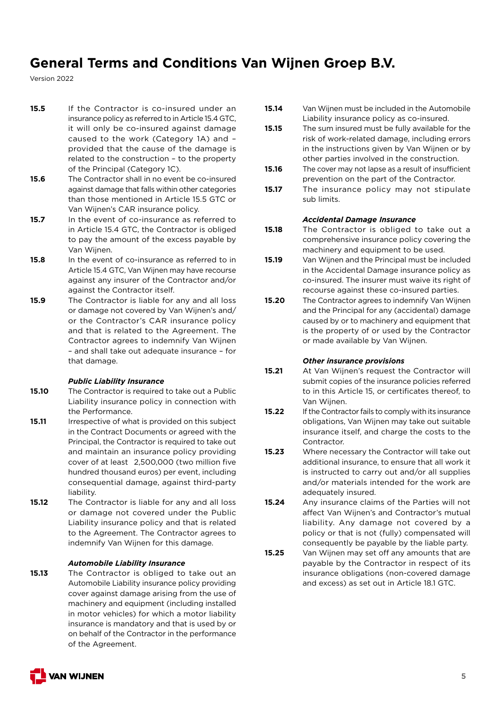Version 2022

- **15.5** If the Contractor is co-insured under an insurance policy as referred to in Article 15.4 GTC, it will only be co-insured against damage caused to the work (Category 1A) and – provided that the cause of the damage is related to the construction – to the property of the Principal (Category 1C).
- **15.6** The Contractor shall in no event be co-insured against damage that falls within other categories than those mentioned in Article 15.5 GTC or Van Wijnen's CAR insurance policy.
- **15.7** In the event of co-insurance as referred to in Article 15.4 GTC, the Contractor is obliged to pay the amount of the excess payable by Van Wijnen.
- **15.8** In the event of co-insurance as referred to in Article 15.4 GTC, Van Wijnen may have recourse against any insurer of the Contractor and/or against the Contractor itself.
- **15.9** The Contractor is liable for any and all loss or damage not covered by Van Wijnen's and/ or the Contractor's CAR insurance policy and that is related to the Agreement. The Contractor agrees to indemnify Van Wijnen – and shall take out adequate insurance – for that damage.

## *Public Liability Insurance*

- **15.10** The Contractor is required to take out a Public Liability insurance policy in connection with the Performance.
- **15.11** Irrespective of what is provided on this subject in the Contract Documents or agreed with the Principal, the Contractor is required to take out and maintain an insurance policy providing cover of at least €2,500,000 (two million five hundred thousand euros) per event, including consequential damage, against third-party liability.
- **15.12** The Contractor is liable for any and all loss or damage not covered under the Public Liability insurance policy and that is related to the Agreement. The Contractor agrees to indemnify Van Wijnen for this damage.

### *Automobile Liability Insurance*

**15.13** The Contractor is obliged to take out an Automobile Liability insurance policy providing cover against damage arising from the use of machinery and equipment (including installed in motor vehicles) for which a motor liability insurance is mandatory and that is used by or on behalf of the Contractor in the performance of the Agreement.

- **15.14** Van Wijnen must be included in the Automobile Liability insurance policy as co-insured.
- **15.15** The sum insured must be fully available for the risk of work-related damage, including errors in the instructions given by Van Wijnen or by other parties involved in the construction.
- **15.16** The cover may not lapse as a result of insufficient prevention on the part of the Contractor.
- **15.17** The insurance policy may not stipulate sub limits.

#### *Accidental Damage Insurance*

- **15.18** The Contractor is obliged to take out a comprehensive insurance policy covering the machinery and equipment to be used.
- **15.19** Van Wijnen and the Principal must be included in the Accidental Damage insurance policy as co-insured. The insurer must waive its right of recourse against these co-insured parties.
- **15.20** The Contractor agrees to indemnify Van Wijnen and the Principal for any (accidental) damage caused by or to machinery and equipment that is the property of or used by the Contractor or made available by Van Wijnen.

### *Other insurance provisions*

- **15.21** At Van Wijnen's request the Contractor will submit copies of the insurance policies referred to in this Article 15, or certificates thereof, to Van Wijnen.
- **15.22** If the Contractor fails to comply with its insurance obligations, Van Wijnen may take out suitable insurance itself, and charge the costs to the **Contractor**
- **15.23** Where necessary the Contractor will take out additional insurance, to ensure that all work it is instructed to carry out and/or all supplies and/or materials intended for the work are adequately insured.
- **15.24** Any insurance claims of the Parties will not affect Van Wijnen's and Contractor's mutual liability. Any damage not covered by a policy or that is not (fully) compensated will consequently be payable by the liable party.
- **15.25** Van Wijnen may set off any amounts that are payable by the Contractor in respect of its insurance obligations (non-covered damage and excess) as set out in Article 18.1 GTC.

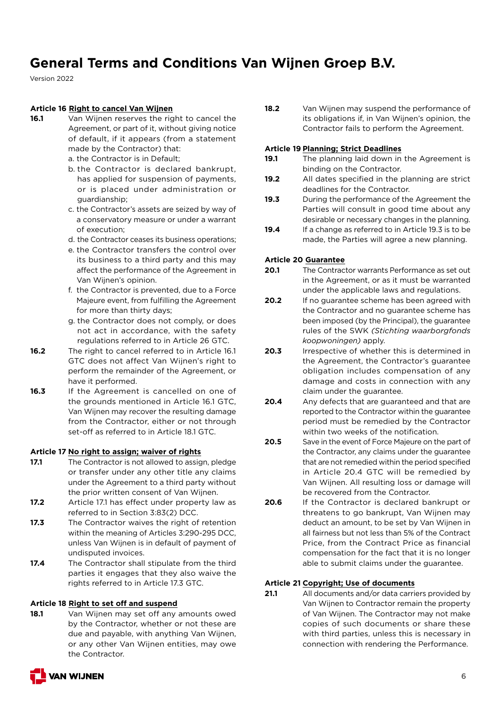Version 2022

### **Article 16 Right to cancel Van Wijnen**

- **16.1** Van Wijnen reserves the right to cancel the Agreement, or part of it, without giving notice of default, if it appears (from a statement made by the Contractor) that:
	- a. the Contractor is in Default;
	- b. the Contractor is declared bankrupt, has applied for suspension of payments, or is placed under administration or guardianship;
	- c. the Contractor's assets are seized by way of a conservatory measure or under a warrant of execution;
	- d. the Contractor ceases its business operations;
	- e. the Contractor transfers the control over its business to a third party and this may affect the performance of the Agreement in Van Wijnen's opinion.
	- f. the Contractor is prevented, due to a Force Majeure event, from fulfilling the Agreement for more than thirty days;
	- g. the Contractor does not comply, or does not act in accordance, with the safety regulations referred to in Article 26 GTC.
- **16.2** The right to cancel referred to in Article 16.1 GTC does not affect Van Wijnen's right to perform the remainder of the Agreement, or have it performed.
- 16.3 If the Agreement is cancelled on one of the grounds mentioned in Article 16.1 GTC, Van Wijnen may recover the resulting damage from the Contractor, either or not through set-off as referred to in Article 18.1 GTC.

## **Article 17 No right to assign; waiver of rights**

- **17.1** The Contractor is not allowed to assign, pledge or transfer under any other title any claims under the Agreement to a third party without the prior written consent of Van Wijnen.
- **17.2** Article 17.1 has effect under property law as referred to in Section 3:83(2) DCC.
- **17.3** The Contractor waives the right of retention within the meaning of Articles 3:290-295 DCC, unless Van Wijnen is in default of payment of undisputed invoices.
- **17.4** The Contractor shall stipulate from the third parties it engages that they also waive the rights referred to in Article 17.3 GTC.

## **Article 18 Right to set off and suspend**

**18.1** Van Wijnen may set off any amounts owed by the Contractor, whether or not these are due and payable, with anything Van Wijnen, or any other Van Wijnen entities, may owe the Contractor.



### **Article 19 Planning; Strict Deadlines**

- **19.1** The planning laid down in the Agreement is binding on the Contractor.
- **19.2** All dates specified in the planning are strict deadlines for the Contractor.
- **19.3** During the performance of the Agreement the Parties will consult in good time about any desirable or necessary changes in the planning.
- **19.4** If a change as referred to in Article 19.3 is to be made, the Parties will agree a new planning.

## **Article 20 Guarantee**

- **20.1** The Contractor warrants Performance as set out in the Agreement, or as it must be warranted under the applicable laws and regulations.
- **20.2** If no guarantee scheme has been agreed with the Contractor and no guarantee scheme has been imposed (by the Principal), the guarantee rules of the SWK *(Stichting waarborgfonds koopwoningen)* apply.
- **20.3** Irrespective of whether this is determined in the Agreement, the Contractor's guarantee obligation includes compensation of any damage and costs in connection with any claim under the guarantee.
- **20.4** Any defects that are guaranteed and that are reported to the Contractor within the guarantee period must be remedied by the Contractor within two weeks of the notification.
- **20.5** Save in the event of Force Majeure on the part of the Contractor, any claims under the guarantee that are not remedied within the period specified in Article 20.4 GTC will be remedied by Van Wijnen. All resulting loss or damage will be recovered from the Contractor.
- **20.6** If the Contractor is declared bankrupt or threatens to go bankrupt, Van Wijnen may deduct an amount, to be set by Van Wijnen in all fairness but not less than 5% of the Contract Price, from the Contract Price as financial compensation for the fact that it is no longer able to submit claims under the guarantee.

## **Article 21 Copyright; Use of documents**

**21.1** All documents and/or data carriers provided by Van Wijnen to Contractor remain the property of Van Wijnen. The Contractor may not make copies of such documents or share these with third parties, unless this is necessary in connection with rendering the Performance.

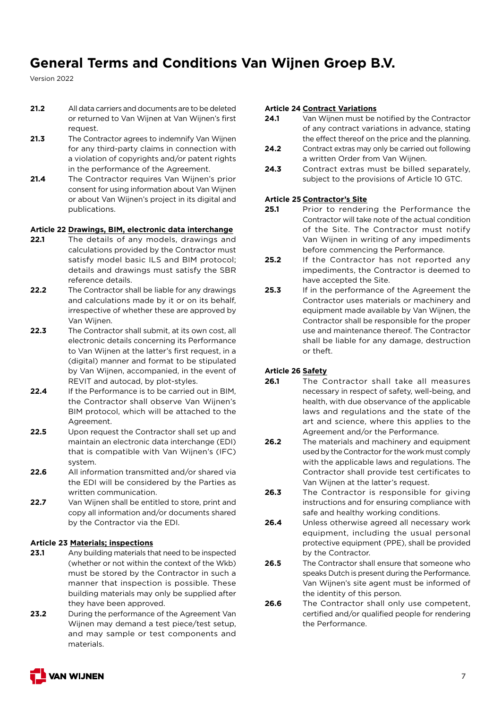Version 2022

- **21.2** All data carriers and documents are to be deleted or returned to Van Wijnen at Van Wijnen's first request.
- **21.3** The Contractor agrees to indemnify Van Wijnen for any third-party claims in connection with a violation of copyrights and/or patent rights in the performance of the Agreement.
- **21.4** The Contractor requires Van Wijnen's prior consent for using information about Van Wijnen or about Van Wijnen's project in its digital and publications.

### **Article 22 Drawings, BIM, electronic data interchange**

- **22.1** The details of any models, drawings and calculations provided by the Contractor must satisfy model basic ILS and BIM protocol; details and drawings must satisfy the SBR reference details.
- **22.2** The Contractor shall be liable for any drawings and calculations made by it or on its behalf, irrespective of whether these are approved by Van Wijnen.
- **22.3** The Contractor shall submit, at its own cost, all electronic details concerning its Performance to Van Wijnen at the latter's first request, in a (digital) manner and format to be stipulated by Van Wijnen, accompanied, in the event of REVIT and autocad, by plot-styles.
- **22.4** If the Performance is to be carried out in BIM, the Contractor shall observe Van Wijnen's BIM protocol, which will be attached to the Agreement.
- **22.5** Upon request the Contractor shall set up and maintain an electronic data interchange (EDI) that is compatible with Van Wijnen's (IFC) system.
- **22.6** All information transmitted and/or shared via the EDI will be considered by the Parties as written communication.
- **22.7** Van Wijnen shall be entitled to store, print and copy all information and/or documents shared by the Contractor via the EDI.

### **Article 23 Materials; inspections**

- **23.1** Any building materials that need to be inspected (whether or not within the context of the Wkb) must be stored by the Contractor in such a manner that inspection is possible. These building materials may only be supplied after they have been approved.
- **23.2** During the performance of the Agreement Van Wijnen may demand a test piece/test setup. and may sample or test components and materials.

### **Article 24 Contract Variations**

- **24.1** Van Wijnen must be notified by the Contractor of any contract variations in advance, stating the effect thereof on the price and the planning.
- **24.2** Contract extras may only be carried out following a written Order from Van Wijnen.
- 24.3 Contract extras must be billed separately, subject to the provisions of Article 10 GTC.

### **Article 25 Contractor's Site**

- 25.1 Prior to rendering the Performance the Contractor will take note of the actual condition of the Site. The Contractor must notify Van Wijnen in writing of any impediments before commencing the Performance.
- **25.2** If the Contractor has not reported any impediments, the Contractor is deemed to have accepted the Site.
- **25.3** If in the performance of the Agreement the Contractor uses materials or machinery and equipment made available by Van Wijnen, the Contractor shall be responsible for the proper use and maintenance thereof. The Contractor shall be liable for any damage, destruction or theft.

### **Article 26 Safety**

- **26.1** The Contractor shall take all measures necessary in respect of safety, well-being, and health, with due observance of the applicable laws and regulations and the state of the art and science, where this applies to the Agreement and/or the Performance.
- **26.2** The materials and machinery and equipment used by the Contractor for the work must comply with the applicable laws and regulations. The Contractor shall provide test certificates to Van Wijnen at the latter's request.
- **26.3** The Contractor is responsible for giving instructions and for ensuring compliance with safe and healthy working conditions.
- **26.4** Unless otherwise agreed all necessary work equipment, including the usual personal protective equipment (PPE), shall be provided by the Contractor.
- **26.5** The Contractor shall ensure that someone who speaks Dutch is present during the Performance. Van Wijnen's site agent must be informed of the identity of this person.
- **26.6** The Contractor shall only use competent, certified and/or qualified people for rendering the Performance.

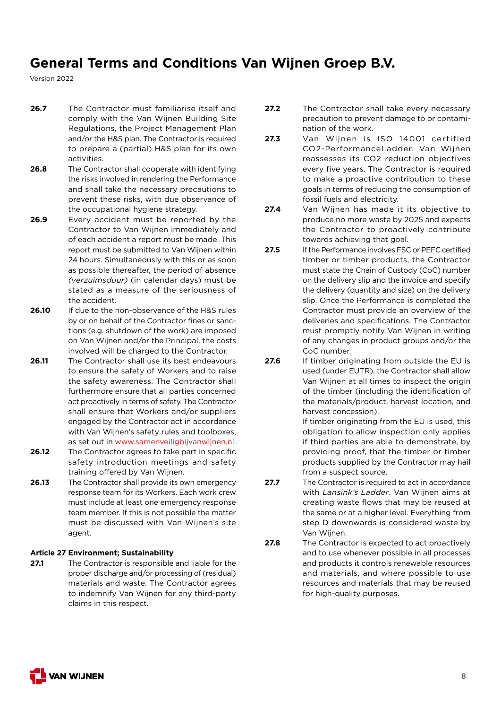Version 2022

- **26.7** The Contractor must familiarise itself and comply with the Van Wijnen Building Site Regulations, the Project Management Plan and/or the H&S plan. The Contractor is required to prepare a (partial) H&S plan for its own activities.
- **26.8** The Contractor shall cooperate with identifying the risks involved in rendering the Performance and shall take the necessary precautions to prevent these risks, with due observance of the occupational hygiene strategy.
- **26.9** Every accident must be reported by the Contractor to Van Wijnen immediately and of each accident a report must be made. This report must be submitted to Van Wijnen within 24 hours. Simultaneously with this or as soon as possible thereafter, the period of absence *(verzuimsduur)* (in calendar days) must be stated as a measure of the seriousness of the accident.
- **26.10** If due to the non-observance of the H&S rules by or on behalf of the Contractor fines or sanctions (e.g. shutdown of the work) are imposed on Van Wijnen and/or the Principal, the costs involved will be charged to the Contractor.
- **26.11** The Contractor shall use its best endeavours to ensure the safety of Workers and to raise the safety awareness. The Contractor shall furthermore ensure that all parties concerned act proactively in terms of safety. The Contractor shall ensure that Workers and/or suppliers engaged by the Contractor act in accordance with Van Wijnen's safety rules and toolboxes, as set out in [www.samenveiligbijvanwijnen.nl](http://www.samenveiligbijvanwijnen.nl).
- **26.12** The Contractor agrees to take part in specific safety introduction meetings and safety training offered by Van Wijnen.
- **26.13** The Contractor shall provide its own emergency response team for its Workers. Each work crew must include at least one emergency response team member. If this is not possible the matter must be discussed with Van Wijnen's site agent.

### **Article 27 Environment; Sustainability**

**27.1** The Contractor is responsible and liable for the proper discharge and/or processing of (residual) materials and waste. The Contractor agrees to indemnify Van Wijnen for any third-party claims in this respect.

- **27.2** The Contractor shall take every necessary precaution to prevent damage to or contamination of the work.
- **27.3** Van Wijnen is ISO 14001 certified CO2-PerformanceLadder. Van Wijnen reassesses its CO2 reduction objectives every five years. The Contractor is required to make a proactive contribution to these goals in terms of reducing the consumption of fossil fuels and electricity.
- **27.4** Van Wijnen has made it its objective to produce no more waste by 2025 and expects the Contractor to proactively contribute towards achieving that goal.
- **27.5** If the Performance involves FSC or PEFC certified timber or timber products, the Contractor must state the Chain of Custody (CoC) number on the delivery slip and the invoice and specify the delivery (quantity and size) on the delivery slip. Once the Performance is completed the Contractor must provide an overview of the deliveries and specifications. The Contractor must promptly notify Van Wijnen in writing of any changes in product groups and/or the CoC number.
- **27.6** If timber originating from outside the EU is used (under EUTR), the Contractor shall allow Van Wijnen at all times to inspect the origin of the timber (including the identification of the materials/product, harvest location, and harvest concession).

If timber originating from the EU is used, this obligation to allow inspection only applies if third parties are able to demonstrate, by providing proof, that the timber or timber products supplied by the Contractor may hail from a suspect source.

- **27.7** The Contractor is required to act in accordance with *Lansink's Ladder*. Van Wijnen aims at creating waste flows that may be reused at the same or at a higher level. Everything from step D downwards is considered waste by Van Wijnen.
- **27.8** The Contractor is expected to act proactively and to use whenever possible in all processes and products it controls renewable resources and materials, and where possible to use resources and materials that may be reused for high-quality purposes.